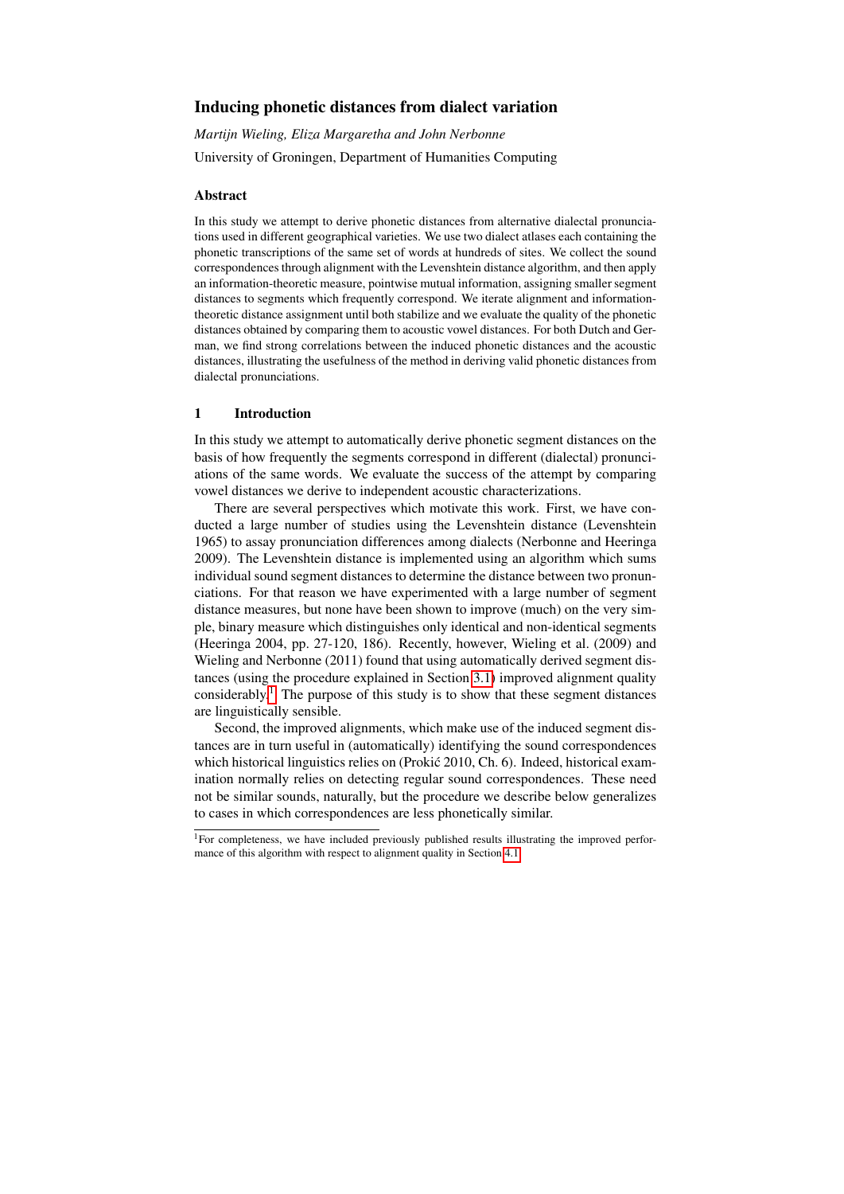# Inducing phonetic distances from dialect variation

*Martijn Wieling, Eliza Margaretha and John Nerbonne* University of Groningen, Department of Humanities Computing

## Abstract

In this study we attempt to derive phonetic distances from alternative dialectal pronunciations used in different geographical varieties. We use two dialect atlases each containing the phonetic transcriptions of the same set of words at hundreds of sites. We collect the sound correspondences through alignment with the Levenshtein distance algorithm, and then apply an information-theoretic measure, pointwise mutual information, assigning smaller segment distances to segments which frequently correspond. We iterate alignment and informationtheoretic distance assignment until both stabilize and we evaluate the quality of the phonetic distances obtained by comparing them to acoustic vowel distances. For both Dutch and German, we find strong correlations between the induced phonetic distances and the acoustic distances, illustrating the usefulness of the method in deriving valid phonetic distances from dialectal pronunciations.

## 1 Introduction

In this study we attempt to automatically derive phonetic segment distances on the basis of how frequently the segments correspond in different (dialectal) pronunciations of the same words. We evaluate the success of the attempt by comparing vowel distances we derive to independent acoustic characterizations.

There are several perspectives which motivate this work. First, we have conducted a large number of studies using the Levenshtein distance (Levenshtein 1965) to assay pronunciation differences among dialects (Nerbonne and Heeringa 2009). The Levenshtein distance is implemented using an algorithm which sums individual sound segment distances to determine the distance between two pronunciations. For that reason we have experimented with a large number of segment distance measures, but none have been shown to improve (much) on the very simple, binary measure which distinguishes only identical and non-identical segments (Heeringa 2004, pp. 27-120, 186). Recently, however, Wieling et al. (2009) and Wieling and Nerbonne (2011) found that using automatically derived segment distances (using the procedure explained in Section [3.1\)](#page-2-0) improved alignment quality considerably.<sup>[1](#page-0-0)</sup> The purpose of this study is to show that these segment distances are linguistically sensible.

Second, the improved alignments, which make use of the induced segment distances are in turn useful in (automatically) identifying the sound correspondences which historical linguistics relies on (Prokić 2010, Ch. 6). Indeed, historical examination normally relies on detecting regular sound correspondences. These need not be similar sounds, naturally, but the procedure we describe below generalizes to cases in which correspondences are less phonetically similar.

<span id="page-0-0"></span><sup>&</sup>lt;sup>1</sup>For completeness, we have included previously published results illustrating the improved performance of this algorithm with respect to alignment quality in Section [4.1.](#page-6-0)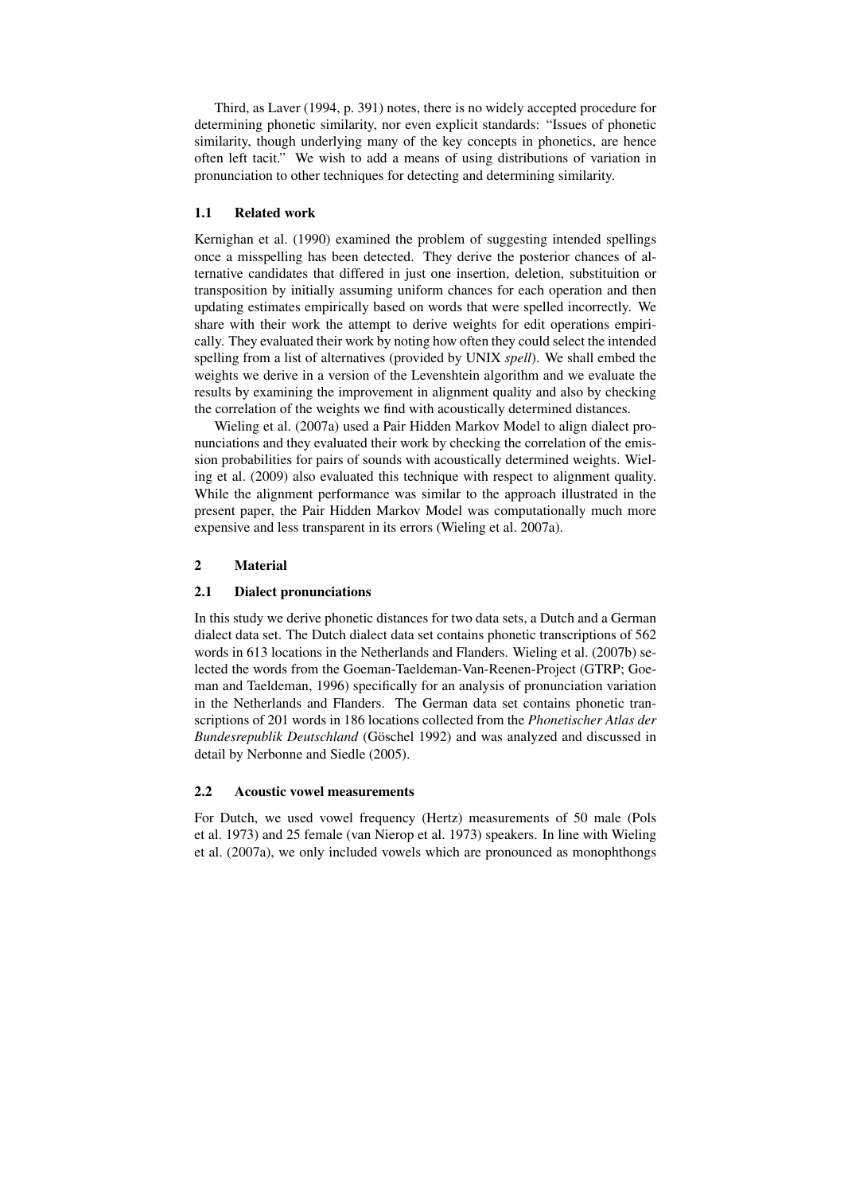Third, as Laver (1994, p. 391) notes, there is no widely accepted procedure for determining phonetic similarity, nor even explicit standards: "Issues of phonetic similarity, though underlying many of the key concepts in phonetics, are hence often left tacit." We wish to add a means of using distributions of variation in pronunciation to other techniques for detecting and determining similarity.

### 1.1 Related work

Kernighan et al. (1990) examined the problem of suggesting intended spellings once a misspelling has been detected. They derive the posterior chances of alternative candidates that differed in just one insertion, deletion, substituition or transposition by initially assuming uniform chances for each operation and then updating estimates empirically based on words that were spelled incorrectly. We share with their work the attempt to derive weights for edit operations empirically. They evaluated their work by noting how often they could select the intended spelling from a list of alternatives (provided by UNIX *spell*). We shall embed the weights we derive in a version of the Levenshtein algorithm and we evaluate the results by examining the improvement in alignment quality and also by checking the correlation of the weights we find with acoustically determined distances.

Wieling et al. (2007a) used a Pair Hidden Markov Model to align dialect pronunciations and they evaluated their work by checking the correlation of the emission probabilities for pairs of sounds with acoustically determined weights. Wieling et al. (2009) also evaluated this technique with respect to alignment quality. While the alignment performance was similar to the approach illustrated in the present paper, the Pair Hidden Markov Model was computationally much more expensive and less transparent in its errors (Wieling et al. 2007a).

## 2 Material

#### 2.1 Dialect pronunciations

In this study we derive phonetic distances for two data sets, a Dutch and a German dialect data set. The Dutch dialect data set contains phonetic transcriptions of 562 words in 613 locations in the Netherlands and Flanders. Wieling et al. (2007b) selected the words from the Goeman-Taeldeman-Van-Reenen-Project (GTRP; Goeman and Taeldeman, 1996) specifically for an analysis of pronunciation variation in the Netherlands and Flanders. The German data set contains phonetic transcriptions of 201 words in 186 locations collected from the *Phonetischer Atlas der Bundesrepublik Deutschland* (Göschel 1992) and was analyzed and discussed in detail by Nerbonne and Siedle (2005).

### 2.2 Acoustic vowel measurements

For Dutch, we used vowel frequency (Hertz) measurements of 50 male (Pols et al. 1973) and 25 female (van Nierop et al. 1973) speakers. In line with Wieling et al. (2007a), we only included vowels which are pronounced as monophthongs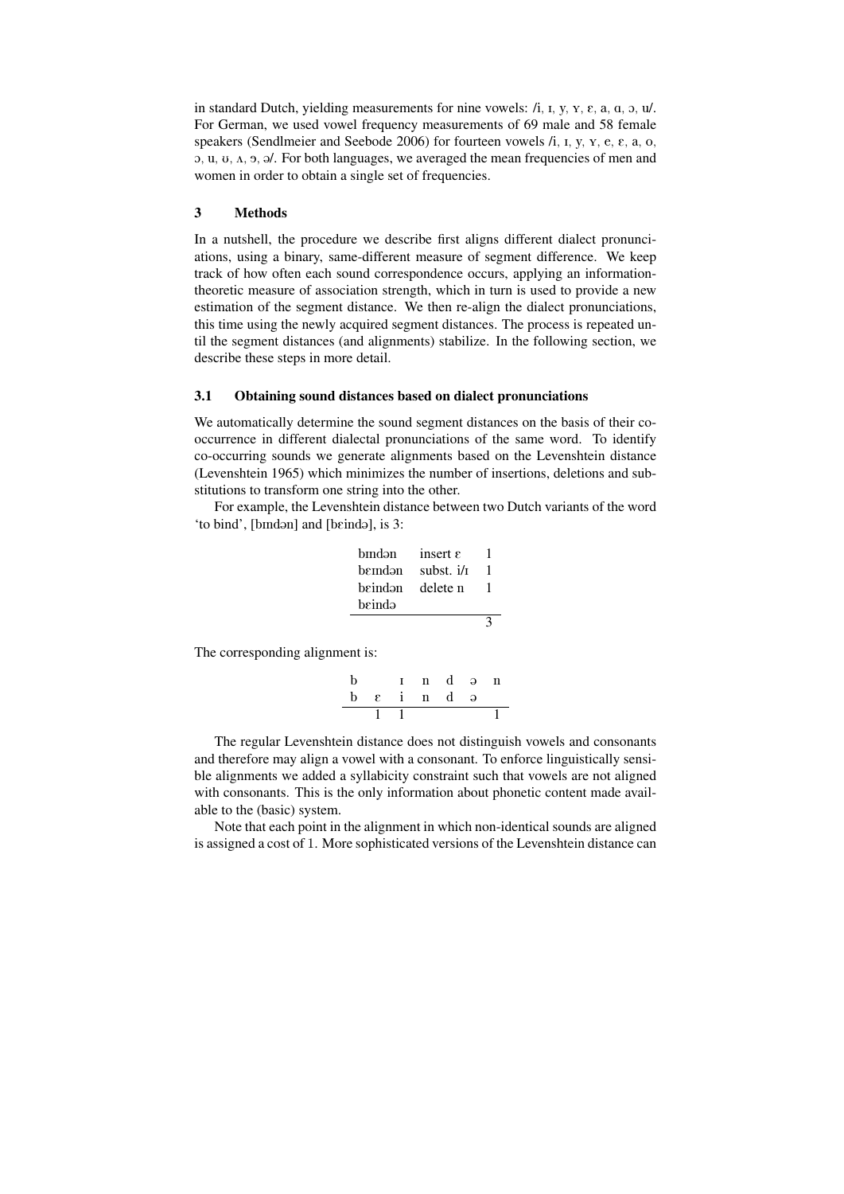in standard Dutch, yielding measurements for nine vowels:  $/i$ , I, y,  $y$ ,  $\varepsilon$ ,  $a$ ,  $a$ ,  $b$ ,  $u$ . For German, we used vowel frequency measurements of 69 male and 58 female speakers (Sendlmeier and Seebode 2006) for fourteen vowels  $/i$ ,  $i$ ,  $y$ ,  $y$ ,  $e$ ,  $\varepsilon$ ,  $a$ ,  $o$ ,  $\alpha$ , u,  $\alpha$ ,  $\alpha$ ,  $\beta$ ,  $\beta$ . For both languages, we averaged the mean frequencies of men and women in order to obtain a single set of frequencies.

## 3 Methods

In a nutshell, the procedure we describe first aligns different dialect pronunciations, using a binary, same-different measure of segment difference. We keep track of how often each sound correspondence occurs, applying an informationtheoretic measure of association strength, which in turn is used to provide a new estimation of the segment distance. We then re-align the dialect pronunciations, this time using the newly acquired segment distances. The process is repeated until the segment distances (and alignments) stabilize. In the following section, we describe these steps in more detail.

## <span id="page-2-0"></span>3.1 Obtaining sound distances based on dialect pronunciations

We automatically determine the sound segment distances on the basis of their cooccurrence in different dialectal pronunciations of the same word. To identify co-occurring sounds we generate alignments based on the Levenshtein distance (Levenshtein 1965) which minimizes the number of insertions, deletions and substitutions to transform one string into the other.

For example, the Levenshtein distance between two Dutch variants of the word 'to bind', [bindən] and [beində], is 3:

| bīndən  | insert $\varepsilon$ |  |
|---------|----------------------|--|
| bemdən  | subst. $i/\tau$      |  |
| beindən | delete n             |  |
| beində  |                      |  |
|         |                      |  |

The corresponding alignment is:

$$
\begin{array}{c|cccc}\nb & 1 & n & d & \ni & n \\
\hline\nb & \epsilon & i & n & d & \ni \\
\hline\n1 & 1 & & & 1\n\end{array}
$$

The regular Levenshtein distance does not distinguish vowels and consonants and therefore may align a vowel with a consonant. To enforce linguistically sensible alignments we added a syllabicity constraint such that vowels are not aligned with consonants. This is the only information about phonetic content made available to the (basic) system.

Note that each point in the alignment in which non-identical sounds are aligned is assigned a cost of 1. More sophisticated versions of the Levenshtein distance can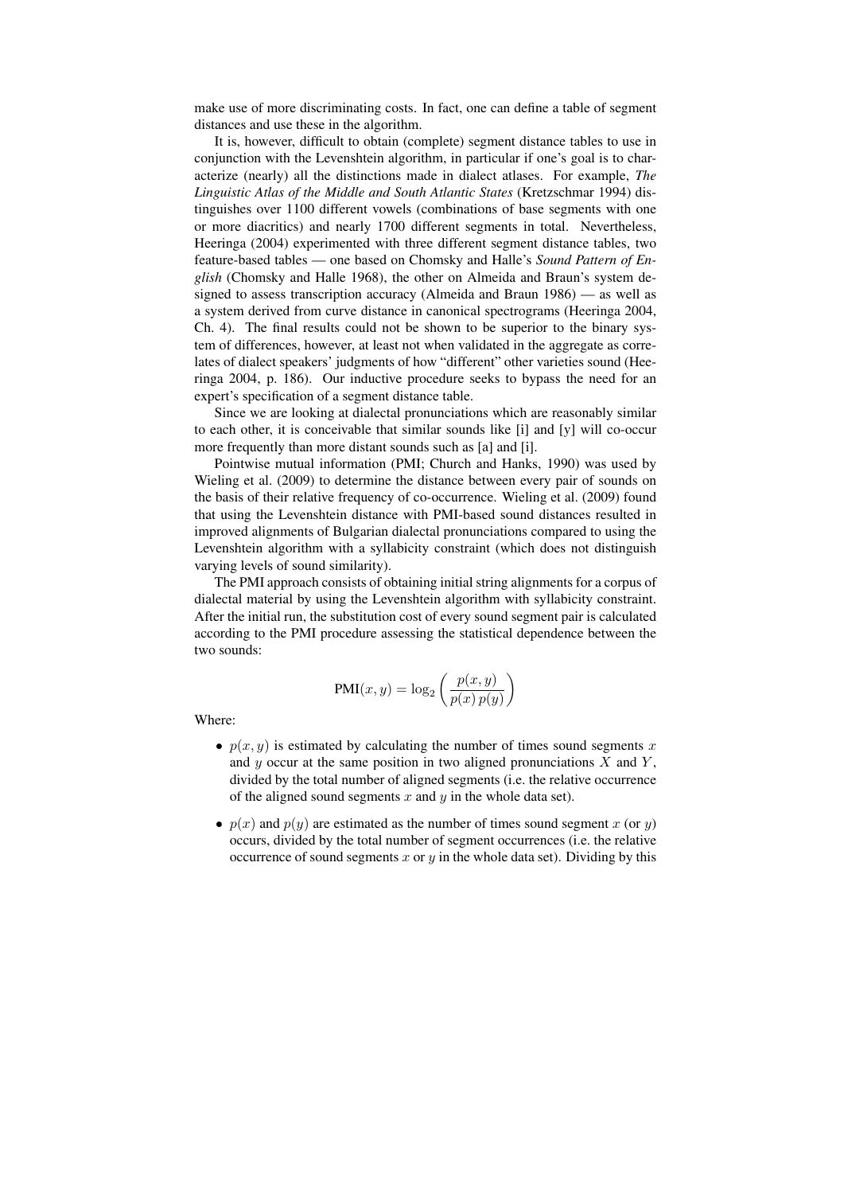make use of more discriminating costs. In fact, one can define a table of segment distances and use these in the algorithm.

It is, however, difficult to obtain (complete) segment distance tables to use in conjunction with the Levenshtein algorithm, in particular if one's goal is to characterize (nearly) all the distinctions made in dialect atlases. For example, *The Linguistic Atlas of the Middle and South Atlantic States* (Kretzschmar 1994) distinguishes over 1100 different vowels (combinations of base segments with one or more diacritics) and nearly 1700 different segments in total. Nevertheless, Heeringa (2004) experimented with three different segment distance tables, two feature-based tables — one based on Chomsky and Halle's *Sound Pattern of English* (Chomsky and Halle 1968), the other on Almeida and Braun's system designed to assess transcription accuracy (Almeida and Braun 1986) — as well as a system derived from curve distance in canonical spectrograms (Heeringa 2004, Ch. 4). The final results could not be shown to be superior to the binary system of differences, however, at least not when validated in the aggregate as correlates of dialect speakers' judgments of how "different" other varieties sound (Heeringa 2004, p. 186). Our inductive procedure seeks to bypass the need for an expert's specification of a segment distance table.

Since we are looking at dialectal pronunciations which are reasonably similar to each other, it is conceivable that similar sounds like [i] and [y] will co-occur more frequently than more distant sounds such as [a] and [i].

Pointwise mutual information (PMI; Church and Hanks, 1990) was used by Wieling et al. (2009) to determine the distance between every pair of sounds on the basis of their relative frequency of co-occurrence. Wieling et al. (2009) found that using the Levenshtein distance with PMI-based sound distances resulted in improved alignments of Bulgarian dialectal pronunciations compared to using the Levenshtein algorithm with a syllabicity constraint (which does not distinguish varying levels of sound similarity).

The PMI approach consists of obtaining initial string alignments for a corpus of dialectal material by using the Levenshtein algorithm with syllabicity constraint. After the initial run, the substitution cost of every sound segment pair is calculated according to the PMI procedure assessing the statistical dependence between the two sounds:

$$
PMI(x, y) = \log_2\left(\frac{p(x, y)}{p(x) p(y)}\right)
$$

Where:

- $p(x, y)$  is estimated by calculating the number of times sound segments x and y occur at the same position in two aligned pronunciations  $X$  and  $Y$ , divided by the total number of aligned segments (i.e. the relative occurrence of the aligned sound segments  $x$  and  $y$  in the whole data set).
- $p(x)$  and  $p(y)$  are estimated as the number of times sound segment x (or y) occurs, divided by the total number of segment occurrences (i.e. the relative occurrence of sound segments  $x$  or  $y$  in the whole data set). Dividing by this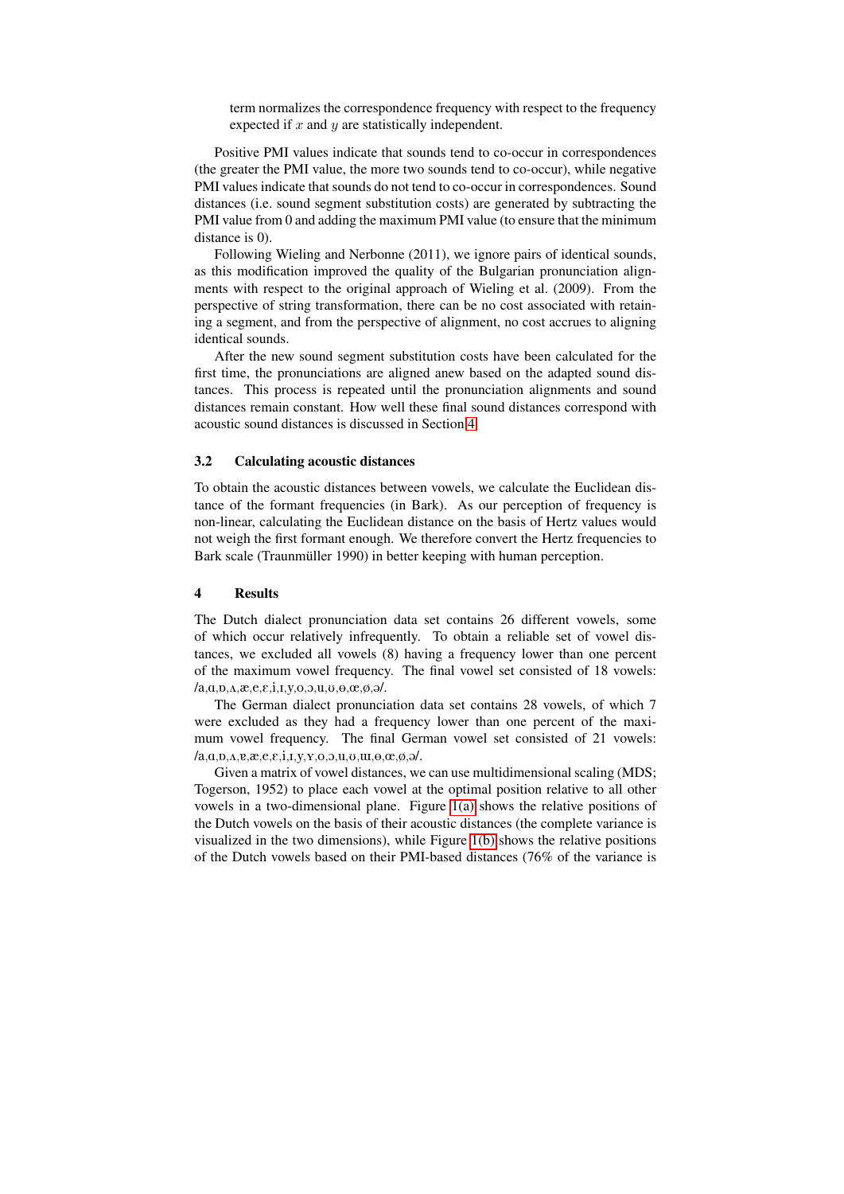term normalizes the correspondence frequency with respect to the frequency expected if  $x$  and  $y$  are statistically independent.

Positive PMI values indicate that sounds tend to co-occur in correspondences (the greater the PMI value, the more two sounds tend to co-occur), while negative PMI values indicate that sounds do not tend to co-occur in correspondences. Sound distances (i.e. sound segment substitution costs) are generated by subtracting the PMI value from 0 and adding the maximum PMI value (to ensure that the minimum distance is 0).

Following Wieling and Nerbonne (2011), we ignore pairs of identical sounds, as this modification improved the quality of the Bulgarian pronunciation alignments with respect to the original approach of Wieling et al. (2009). From the perspective of string transformation, there can be no cost associated with retaining a segment, and from the perspective of alignment, no cost accrues to aligning identical sounds.

After the new sound segment substitution costs have been calculated for the first time, the pronunciations are aligned anew based on the adapted sound distances. This process is repeated until the pronunciation alignments and sound distances remain constant. How well these final sound distances correspond with acoustic sound distances is discussed in Section [4.](#page-4-0)

#### 3.2 Calculating acoustic distances

To obtain the acoustic distances between vowels, we calculate the Euclidean distance of the formant frequencies (in Bark). As our perception of frequency is non-linear, calculating the Euclidean distance on the basis of Hertz values would not weigh the first formant enough. We therefore convert the Hertz frequencies to Bark scale (Traunmüller 1990) in better keeping with human perception.

### <span id="page-4-0"></span>4 Results

The Dutch dialect pronunciation data set contains 26 different vowels, some of which occur relatively infrequently. To obtain a reliable set of vowel distances, we excluded all vowels (8) having a frequency lower than one percent of the maximum vowel frequency. The final vowel set consisted of 18 vowels:  $(a,a,\alpha,a,e,e,i,i,y,o,a,\alpha,o,e,\phi,o'.$ 

The German dialect pronunciation data set contains 28 vowels, of which 7 were excluded as they had a frequency lower than one percent of the maximum vowel frequency. The final German vowel set consisted of 21 vowels:  $(a, a, p, A, g, x, e, \varepsilon, i, I, y, Y, o, \varepsilon, u, u, \varepsilon, \alpha, \alpha, \beta, \alpha)$ 

Given a matrix of vowel distances, we can use multidimensional scaling (MDS; Togerson, 1952) to place each vowel at the optimal position relative to all other vowels in a two-dimensional plane. Figure [1\(a\)](#page-5-0) shows the relative positions of the Dutch vowels on the basis of their acoustic distances (the complete variance is visualized in the two dimensions), while Figure [1\(b\)](#page-5-1) shows the relative positions of the Dutch vowels based on their PMI-based distances (76% of the variance is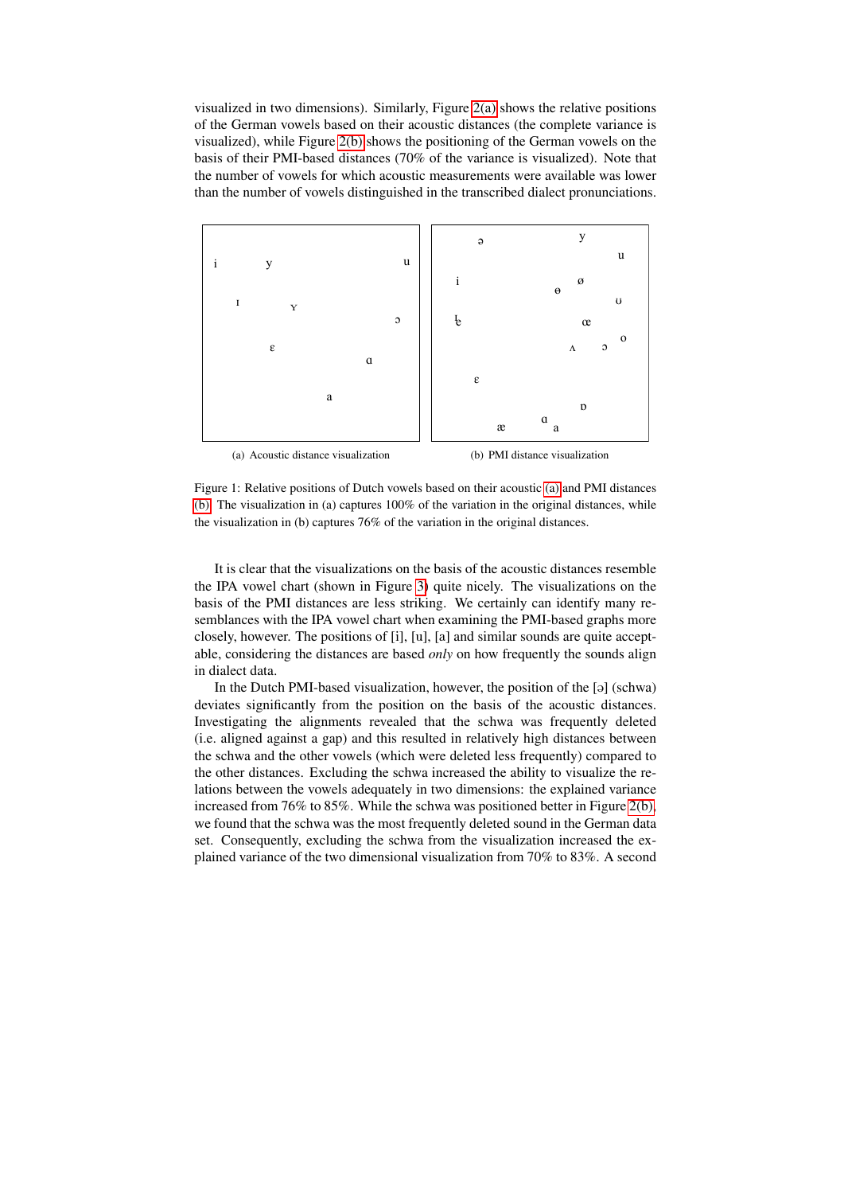visualized in two dimensions). Similarly, Figure [2\(a\)](#page-6-1) shows the relative positions of the German vowels based on their acoustic distances (the complete variance is visualized), while Figure [2\(b\)](#page-6-2) shows the positioning of the German vowels on the basis of their PMI-based distances (70% of the variance is visualized). Note that the number of vowels for which acoustic measurements were available was lower than the number of vowels distinguished in the transcribed dialect pronunciations.

<span id="page-5-0"></span>

<span id="page-5-1"></span>Figure 1: Relative positions of Dutch vowels based on their acoustic [\(a\)](#page-5-0) and PMI distances [\(b\).](#page-5-1) The visualization in (a) captures 100% of the variation in the original distances, while the visualization in (b) captures 76% of the variation in the original distances.

It is clear that the visualizations on the basis of the acoustic distances resemble the IPA vowel chart (shown in Figure [3\)](#page-7-0) quite nicely. The visualizations on the basis of the PMI distances are less striking. We certainly can identify many resemblances with the IPA vowel chart when examining the PMI-based graphs more closely, however. The positions of [i], [u], [a] and similar sounds are quite acceptable, considering the distances are based *only* on how frequently the sounds align in dialect data.

In the Dutch PMI-based visualization, however, the position of the  $[9]$  (schwa) deviates significantly from the position on the basis of the acoustic distances. Investigating the alignments revealed that the schwa was frequently deleted (i.e. aligned against a gap) and this resulted in relatively high distances between the schwa and the other vowels (which were deleted less frequently) compared to the other distances. Excluding the schwa increased the ability to visualize the relations between the vowels adequately in two dimensions: the explained variance increased from 76% to 85%. While the schwa was positioned better in Figure [2\(b\),](#page-6-2) we found that the schwa was the most frequently deleted sound in the German data set. Consequently, excluding the schwa from the visualization increased the explained variance of the two dimensional visualization from 70% to 83%. A second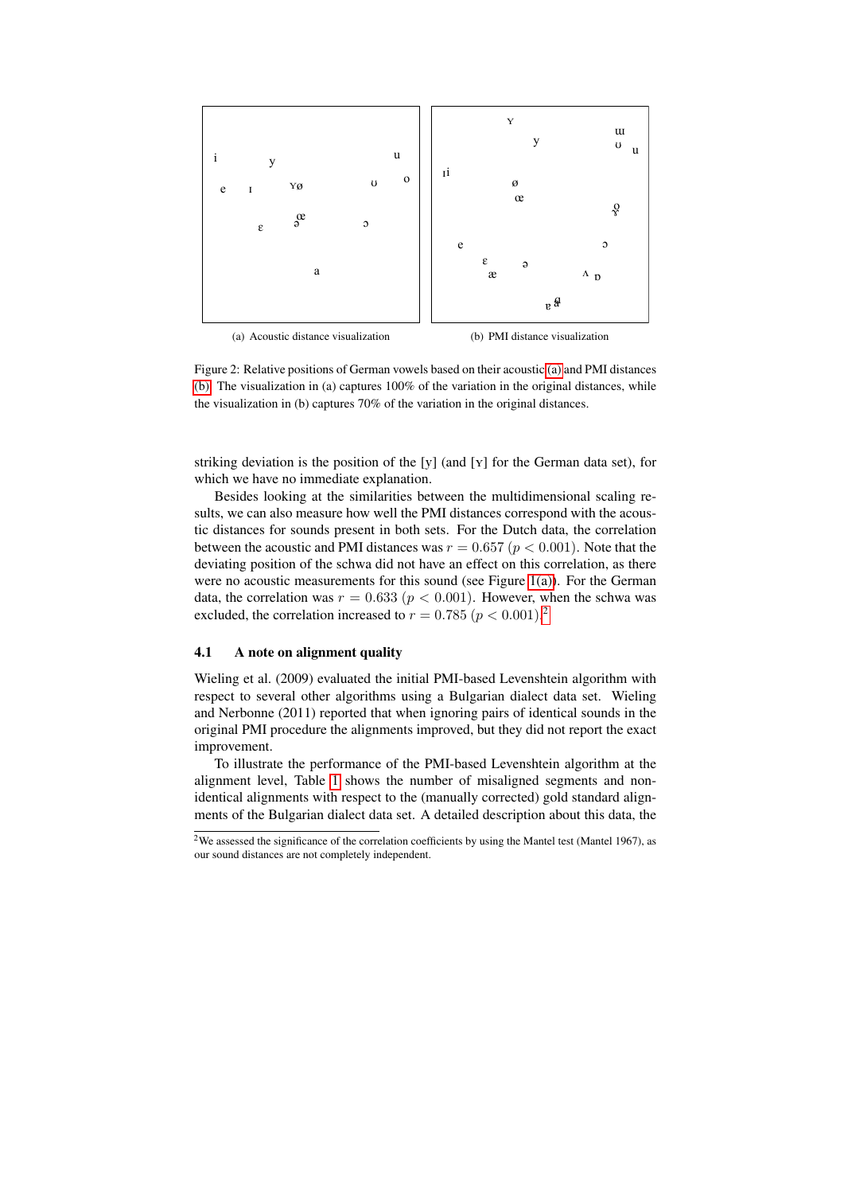<span id="page-6-1"></span>

<span id="page-6-2"></span>Figure 2: Relative positions of German vowels based on their acoustic [\(a\)](#page-6-1) and PMI distances [\(b\).](#page-6-2) The visualization in (a) captures  $100\%$  of the variation in the original distances, while the visualization in (b) captures 70% of the variation in the original distances.

striking deviation is the position of the [y] (and [Y] for the German data set), for which we have no immediate explanation.

Besides looking at the similarities between the multidimensional scaling results, we can also measure how well the PMI distances correspond with the acoustic distances for sounds present in both sets. For the Dutch data, the correlation between the acoustic and PMI distances was  $r = 0.657$  ( $p < 0.001$ ). Note that the deviating position of the schwa did not have an effect on this correlation, as there were no acoustic measurements for this sound (see Figure [1\(a\)\)](#page-5-0). For the German data, the correlation was  $r = 0.633$  ( $p < 0.001$ ). However, when the schwa was excluded, the correlation increased to  $r = 0.785$   $(p < 0.001)$ .<sup>[2](#page-6-3)</sup>

## <span id="page-6-0"></span>4.1 A note on alignment quality

Wieling et al. (2009) evaluated the initial PMI-based Levenshtein algorithm with respect to several other algorithms using a Bulgarian dialect data set. Wieling and Nerbonne (2011) reported that when ignoring pairs of identical sounds in the original PMI procedure the alignments improved, but they did not report the exact improvement.

To illustrate the performance of the PMI-based Levenshtein algorithm at the alignment level, Table [1](#page-7-1) shows the number of misaligned segments and nonidentical alignments with respect to the (manually corrected) gold standard alignments of the Bulgarian dialect data set. A detailed description about this data, the

<span id="page-6-3"></span><sup>&</sup>lt;sup>2</sup>We assessed the significance of the correlation coefficients by using the Mantel test (Mantel 1967), as our sound distances are not completely independent.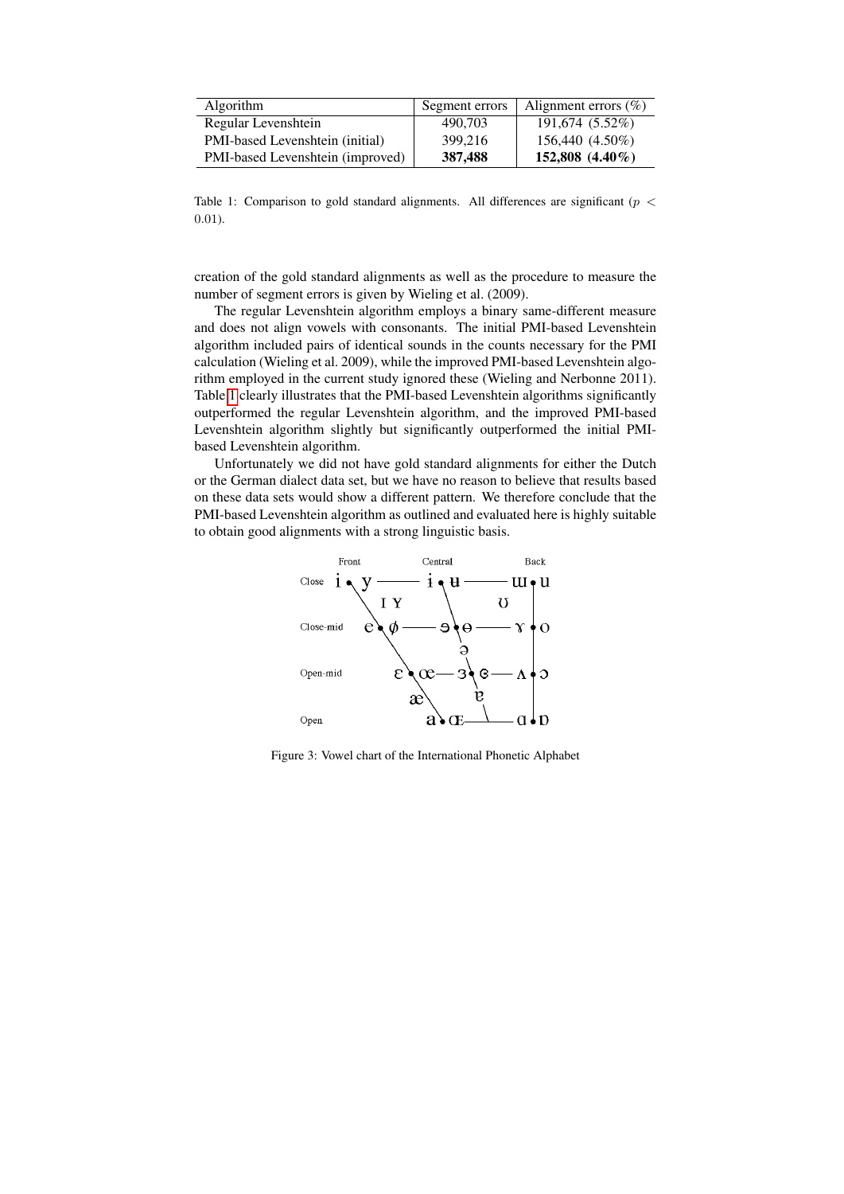| <b>Algorithm</b>                 | Segment errors | Alignment errors $(\%)$ |
|----------------------------------|----------------|-------------------------|
| Regular Levenshtein              | 490.703        | 191,674 (5.52%)         |
| PMI-based Levenshtein (initial)  | 399.216        | 156,440 (4.50%)         |
| PMI-based Levenshtein (improved) | 387,488        | $152,808$ $(4.40\%)$    |

<span id="page-7-1"></span>Table 1: Comparison to gold standard alignments. All differences are significant ( $p <$ 0.01).

creation of the gold standard alignments as well as the procedure to measure the number of segment errors is given by Wieling et al. (2009).

The regular Levenshtein algorithm employs a binary same-different measure and does not align vowels with consonants. The initial PMI-based Levenshtein algorithm included pairs of identical sounds in the counts necessary for the PMI calculation (Wieling et al. 2009), while the improved PMI-based Levenshtein algorithm employed in the current study ignored these (Wieling and Nerbonne 2011). Table [1](#page-7-1) clearly illustrates that the PMI-based Levenshtein algorithms significantly outperformed the regular Levenshtein algorithm, and the improved PMI-based Levenshtein algorithm slightly but significantly outperformed the initial PMIbased Levenshtein algorithm.

Unfortunately we did not have gold standard alignments for either the Dutch or the German dialect data set, but we have no reason to believe that results based on these data sets would show a different pattern. We therefore conclude that the PMI-based Levenshtein algorithm as outlined and evaluated here is highly suitable to obtain good alignments with a strong linguistic basis.



<span id="page-7-0"></span>Figure 3: Vowel chart of the International Phonetic Alphabet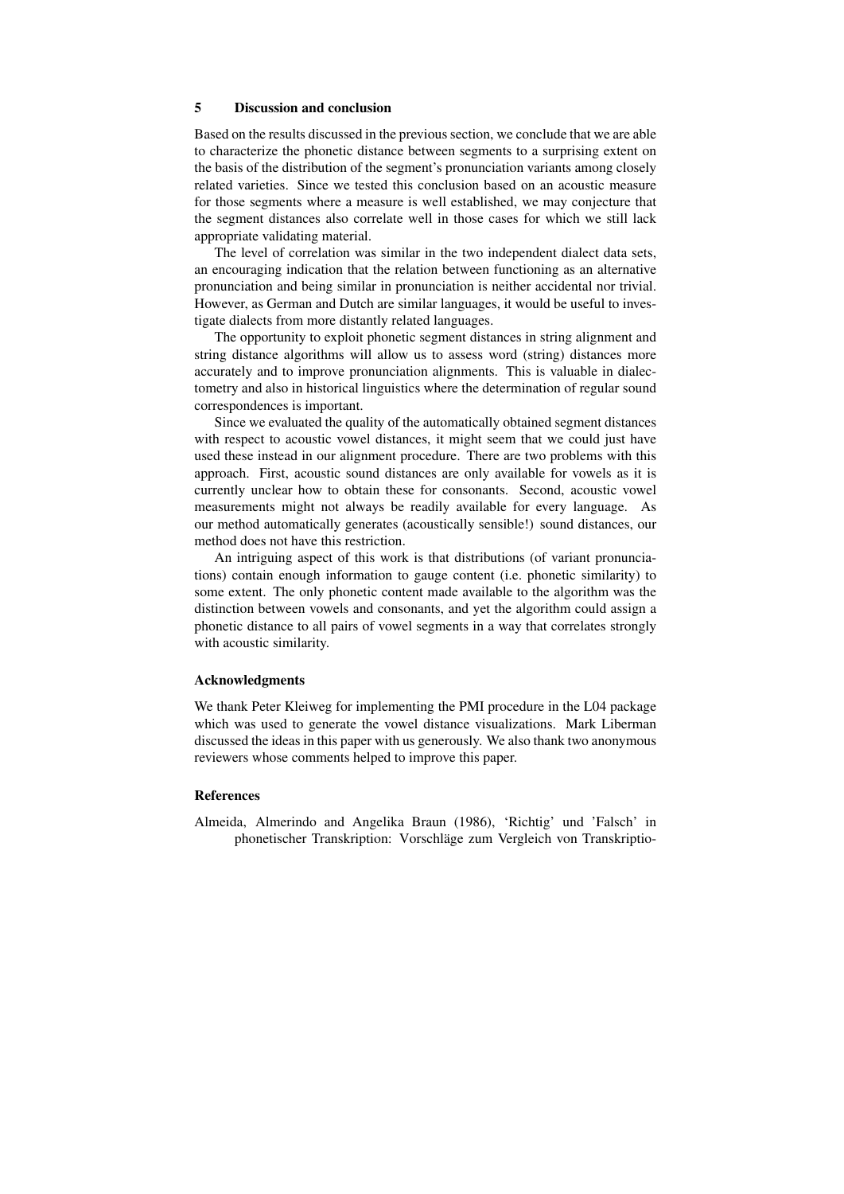# 5 Discussion and conclusion

Based on the results discussed in the previous section, we conclude that we are able to characterize the phonetic distance between segments to a surprising extent on the basis of the distribution of the segment's pronunciation variants among closely related varieties. Since we tested this conclusion based on an acoustic measure for those segments where a measure is well established, we may conjecture that the segment distances also correlate well in those cases for which we still lack appropriate validating material.

The level of correlation was similar in the two independent dialect data sets, an encouraging indication that the relation between functioning as an alternative pronunciation and being similar in pronunciation is neither accidental nor trivial. However, as German and Dutch are similar languages, it would be useful to investigate dialects from more distantly related languages.

The opportunity to exploit phonetic segment distances in string alignment and string distance algorithms will allow us to assess word (string) distances more accurately and to improve pronunciation alignments. This is valuable in dialectometry and also in historical linguistics where the determination of regular sound correspondences is important.

Since we evaluated the quality of the automatically obtained segment distances with respect to acoustic vowel distances, it might seem that we could just have used these instead in our alignment procedure. There are two problems with this approach. First, acoustic sound distances are only available for vowels as it is currently unclear how to obtain these for consonants. Second, acoustic vowel measurements might not always be readily available for every language. As our method automatically generates (acoustically sensible!) sound distances, our method does not have this restriction.

An intriguing aspect of this work is that distributions (of variant pronunciations) contain enough information to gauge content (i.e. phonetic similarity) to some extent. The only phonetic content made available to the algorithm was the distinction between vowels and consonants, and yet the algorithm could assign a phonetic distance to all pairs of vowel segments in a way that correlates strongly with acoustic similarity.

### Acknowledgments

We thank Peter Kleiweg for implementing the PMI procedure in the L04 package which was used to generate the vowel distance visualizations. Mark Liberman discussed the ideas in this paper with us generously. We also thank two anonymous reviewers whose comments helped to improve this paper.

#### References

Almeida, Almerindo and Angelika Braun (1986), 'Richtig' und 'Falsch' in phonetischer Transkription: Vorschlage zum Vergleich von Transkriptio- ¨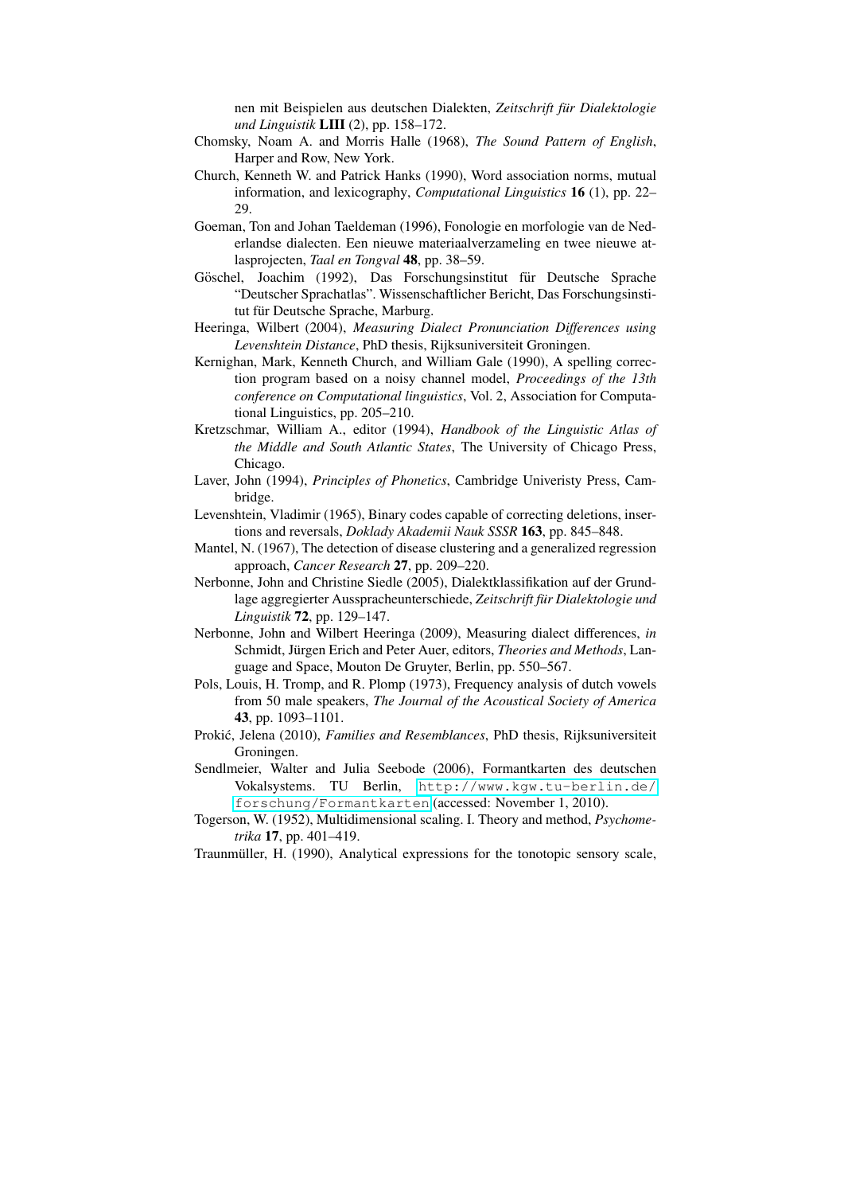nen mit Beispielen aus deutschen Dialekten, *Zeitschrift fur Dialektologie ¨ und Linguistik* LIII (2), pp. 158–172.

- Chomsky, Noam A. and Morris Halle (1968), *The Sound Pattern of English*, Harper and Row, New York.
- Church, Kenneth W. and Patrick Hanks (1990), Word association norms, mutual information, and lexicography, *Computational Linguistics* 16 (1), pp. 22– 29.
- Goeman, Ton and Johan Taeldeman (1996), Fonologie en morfologie van de Nederlandse dialecten. Een nieuwe materiaalverzameling en twee nieuwe atlasprojecten, *Taal en Tongval* 48, pp. 38–59.
- Göschel, Joachim (1992), Das Forschungsinstitut für Deutsche Sprache "Deutscher Sprachatlas". Wissenschaftlicher Bericht, Das Forschungsinstitut für Deutsche Sprache, Marburg.
- Heeringa, Wilbert (2004), *Measuring Dialect Pronunciation Differences using Levenshtein Distance*, PhD thesis, Rijksuniversiteit Groningen.
- Kernighan, Mark, Kenneth Church, and William Gale (1990), A spelling correction program based on a noisy channel model, *Proceedings of the 13th conference on Computational linguistics*, Vol. 2, Association for Computational Linguistics, pp. 205–210.
- Kretzschmar, William A., editor (1994), *Handbook of the Linguistic Atlas of the Middle and South Atlantic States*, The University of Chicago Press, Chicago.
- Laver, John (1994), *Principles of Phonetics*, Cambridge Univeristy Press, Cambridge.
- Levenshtein, Vladimir (1965), Binary codes capable of correcting deletions, insertions and reversals, *Doklady Akademii Nauk SSSR* 163, pp. 845–848.
- Mantel, N. (1967), The detection of disease clustering and a generalized regression approach, *Cancer Research* 27, pp. 209–220.
- Nerbonne, John and Christine Siedle (2005), Dialektklassifikation auf der Grundlage aggregierter Ausspracheunterschiede, *Zeitschrift fur Dialektologie und ¨ Linguistik* 72, pp. 129–147.
- Nerbonne, John and Wilbert Heeringa (2009), Measuring dialect differences, *in* Schmidt, Jürgen Erich and Peter Auer, editors, *Theories and Methods*, Language and Space, Mouton De Gruyter, Berlin, pp. 550–567.
- Pols, Louis, H. Tromp, and R. Plomp (1973), Frequency analysis of dutch vowels from 50 male speakers, *The Journal of the Acoustical Society of America* 43, pp. 1093–1101.
- Prokić, Jelena (2010), *Families and Resemblances*, PhD thesis, Rijksuniversiteit Groningen.
- Sendlmeier, Walter and Julia Seebode (2006), Formantkarten des deutschen Vokalsystems. TU Berlin, [http://www.kgw.tu-berlin.de/](http://www.kgw.tu-berlin.de/forschung/Formantkarten) [forschung/Formantkarten](http://www.kgw.tu-berlin.de/forschung/Formantkarten) (accessed: November 1, 2010).
- Togerson, W. (1952), Multidimensional scaling. I. Theory and method, *Psychometrika* 17, pp. 401–419.
- Traunmüller, H. (1990), Analytical expressions for the tonotopic sensory scale,